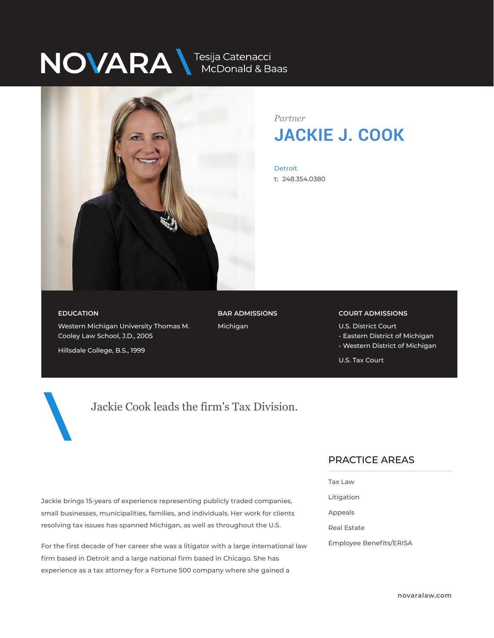# NOVARA MEDONALA Baas



*Partner* **JACKIE J. COOK**

Detroit t: 248.354.0380

#### **EDUCATION**

Western Michigan University Thomas M. Cooley Law School, J.D., 2005

**BAR ADMISSIONS** Michigan

#### **COURT ADMISSIONS**

U.S. District Court

- Eastern District of Michigan
- Western District of Michigan

U.S. Tax Court

Hillsdale College, B.S., 1999

# Jackie Cook leads the firm's Tax Division.

Jackie brings 15-years of experience representing publicly traded companies, small businesses, municipalities, families, and individuals. Her work for clients resolving tax issues has spanned Michigan, as well as throughout the U.S.

For the first decade of her career she was a litigator with a large international law firm based in Detroit and a large national firm based in Chicago. She has experience as a tax attorney for a Fortune 500 company where she gained a

#### PRACTICE AREAS  $\overline{\phantom{a}}$

- Tax Law
- Litigation
- Appeals
- Real Estate
- Employee Benefits/ERISA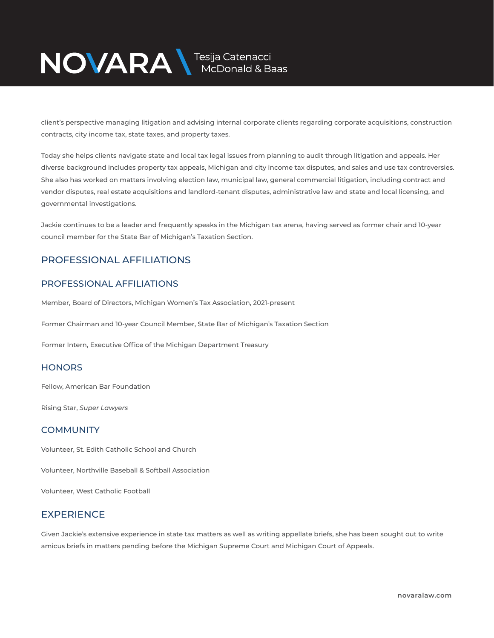# NOVARA MEDOnald & Baas

client's perspective managing litigation and advising internal corporate clients regarding corporate acquisitions, construction contracts, city income tax, state taxes, and property taxes.

Today she helps clients navigate state and local tax legal issues from planning to audit through litigation and appeals. Her diverse background includes property tax appeals, Michigan and city income tax disputes, and sales and use tax controversies. She also has worked on matters involving election law, municipal law, general commercial litigation, including contract and vendor disputes, real estate acquisitions and landlord-tenant disputes, administrative law and state and local licensing, and governmental investigations.

Jackie continues to be a leader and frequently speaks in the Michigan tax arena, having served as former chair and 10-year council member for the State Bar of Michigan's Taxation Section.

## PROFESSIONAL AFFILIATIONS

### PROFESSIONAL AFFILIATIONS

Member, Board of Directors, Michigan Women's Tax Association, 2021-present

Former Chairman and 10-year Council Member, State Bar of Michigan's Taxation Section

Former Intern, Executive Office of the Michigan Department Treasury

#### **HONORS**

Fellow, American Bar Foundation

Rising Star, *Super Lawyers*

### **COMMUNITY**

Volunteer, St. Edith Catholic School and Church

Volunteer, Northville Baseball & Softball Association

Volunteer, West Catholic Football

## **EXPERIENCE**

Given Jackie's extensive experience in state tax matters as well as writing appellate briefs, she has been sought out to write amicus briefs in matters pending before the Michigan Supreme Court and Michigan Court of Appeals.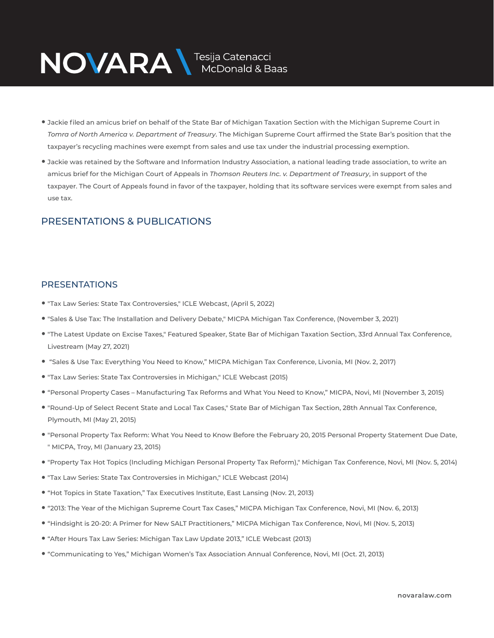# NOVARA MEDOnald & Baas

- Jackie filed an amicus brief on behalf of the State Bar of Michigan Taxation Section with the Michigan Supreme Court in *Tomra of North America v. Department of Treasury*. The Michigan Supreme Court affirmed the State Bar's position that the taxpayer's recycling machines were exempt from sales and use tax under the industrial processing exemption.
- Jackie was retained by the Software and Information Industry Association, a national leading trade association, to write an amicus brief for the Michigan Court of Appeals in *Thomson Reuters Inc. v. Department of Treasury*, in support of the taxpayer. The Court of Appeals found in favor of the taxpayer, holding that its software services were exempt from sales and use tax.

## PRESENTATIONS & PUBLICATIONS

### PRESENTATIONS

- "Tax Law Series: State Tax Controversies," ICLE Webcast, (April 5, 2022)
- "Sales & Use Tax: The Installation and Delivery Debate," MICPA Michigan Tax Conference, (November 3, 2021)
- "The Latest Update on Excise Taxes," Featured Speaker, State Bar of Michigan Taxation Section, 33rd Annual Tax Conference, Livestream (May 27, 2021)
- "Sales & Use Tax: Everything You Need to Know," MICPA Michigan Tax Conference, Livonia, MI (Nov. 2, 2017)
- "Tax Law Series: State Tax Controversies in Michigan," ICLE Webcast (2015)
- "Personal Property Cases Manufacturing Tax Reforms and What You Need to Know," MICPA, Novi, MI (November 3, 2015)
- "Round-Up of Select Recent State and Local Tax Cases," State Bar of Michigan Tax Section, 28th Annual Tax Conference, Plymouth, MI (May 21, 2015)
- "Personal Property Tax Reform: What You Need to Know Before the February 20, 2015 Personal Property Statement Due Date, " MICPA, Troy, MI (January 23, 2015)
- "Property Tax Hot Topics (Including Michigan Personal Property Tax Reform)," Michigan Tax Conference, Novi, MI (Nov. 5, 2014)
- "Tax Law Series: State Tax Controversies in Michigan," ICLE Webcast (2014)
- "Hot Topics in State Taxation," Tax Executives Institute, East Lansing (Nov. 21, 2013)
- "2013: The Year of the Michigan Supreme Court Tax Cases," MICPA Michigan Tax Conference, Novi, MI (Nov. 6, 2013)
- "Hindsight is 20-20: A Primer for New SALT Practitioners," MICPA Michigan Tax Conference, Novi, MI (Nov. 5, 2013)
- "After Hours Tax Law Series: Michigan Tax Law Update 2013," ICLE Webcast (2013)
- "Communicating to Yes," Michigan Women's Tax Association Annual Conference, Novi, MI (Oct. 21, 2013)